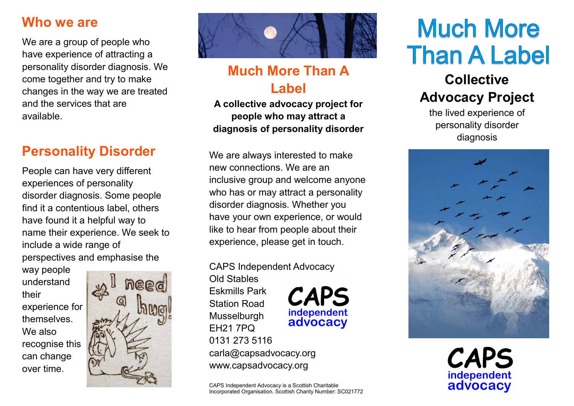#### **Who we are**

We are a group of people who have experience of attracting a personality disorder diagnosis. We come together and try to make changes in the way we are treated and the services that are available.

## **Personality Disorder**

People can have very different experiences of personality disorder diagnosis. Some people find it a contentious label, others have found it a helpful way to name their experience. We seek to include a wide range of perspectives and emphasise the

way people understand their experience for themselves. We also recognise this can change over time.





## **Much More Than A Label**

**A collective advocacy project for people who may attract a diagnosis of personality disorder**

We are always interested to make new connections. We are an inclusive group and welcome anyone who has or may attract a personality disorder diagnosis. Whether you have your own experience, or would like to hear from people about their experience, please get in touch.

CAPS Independent Advocacy

Old Stables Eskmills Park Station Road Musselburgh EH21 7PQ 0131 273 5116 carla@capsadvocacy.org www.capsadvocacy.org

CAPS Independent Advocacy is a Scottish Charitable Incorporated Organisation. Scottish Charity Number: SC021772

**CAPS** 

independent advocacy

# **Much More Than A Label**

## **Collective Advocacy Project**

the lived experience of personality disorder diagnosis



**CAPS** independent advocacy